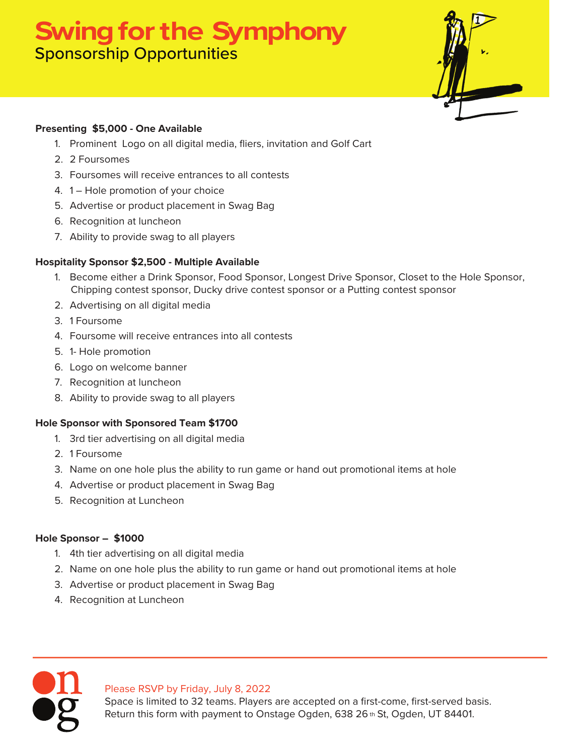## **Swing for the Symphony** Sponsorship Opportunities



#### **Presenting \$5,000 - One Available**

- 1. Prominent Logo on all digital media, fliers, invitation and Golf Cart
- 2. 2 Foursomes
- 3. Foursomes will receive entrances to all contests
- 4. 1 Hole promotion of your choice
- 5. Advertise or product placement in Swag Bag
- 6. Recognition at luncheon
- 7. Ability to provide swag to all players

#### **Hospitality Sponsor \$2,500 - Multiple Available**

- 1. Become either a Drink Sponsor, Food Sponsor, Longest Drive Sponsor, Closet to the Hole Sponsor, Chipping contest sponsor, Ducky drive contest sponsor or a Putting contest sponsor
- 2. Advertising on all digital media
- 3. 1 Foursome
- 4. Foursome will receive entrances into all contests
- 5. 1- Hole promotion
- 6. Logo on welcome banner
- 7. Recognition at luncheon
- 8. Ability to provide swag to all players

#### **Hole Sponsor with Sponsored Team \$1700**

- 1. 3rd tier advertising on all digital media
- 2. 1 Foursome
- 3. Name on one hole plus the ability to run game or hand out promotional items at hole
- 4. Advertise or product placement in Swag Bag
- 5. Recognition at Luncheon

#### **Hole Sponsor – \$1000**

- 1. 4th tier advertising on all digital media
- 2. Name on one hole plus the ability to run game or hand out promotional items at hole
- 3. Advertise or product placement in Swag Bag
- 4. Recognition at Luncheon

#### Please RSVP by Friday, July 8, 2022

Space is limited to 32 teams. Players are accepted on a first-come, first-served basis. Return this form with payment to Onstage Ogden, 638 26 th St, Ogden, UT 84401.